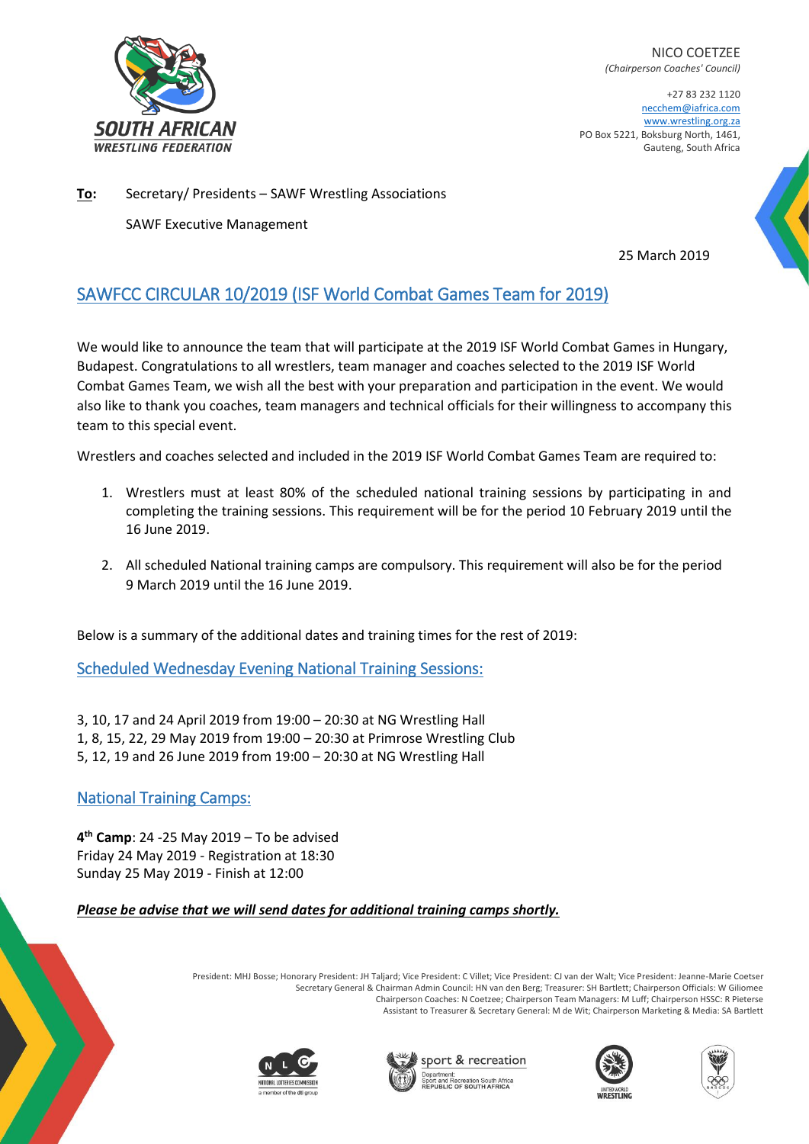

NICO COETZEE *(Chairperson Coaches' Council)*

+27 83 232 1120 necchem@iafrica.com [www.wrestling.org.za](http://www.wrestling.org.za/) PO Box 5221, Boksburg North, 1461, Gauteng, South Africa

**To:** Secretary/ Presidents – SAWF Wrestling Associations SAWF Executive Management

25 March 2019

## SAWFCC CIRCULAR 10/2019 (ISF World Combat Games Team for 2019)

We would like to announce the team that will participate at the 2019 ISF World Combat Games in Hungary, Budapest. Congratulations to all wrestlers, team manager and coaches selected to the 2019 ISF World Combat Games Team, we wish all the best with your preparation and participation in the event. We would also like to thank you coaches, team managers and technical officials for their willingness to accompany this team to this special event.

Wrestlers and coaches selected and included in the 2019 ISF World Combat Games Team are required to:

- 1. Wrestlers must at least 80% of the scheduled national training sessions by participating in and completing the training sessions. This requirement will be for the period 10 February 2019 until the 16 June 2019.
- 2. All scheduled National training camps are compulsory. This requirement will also be for the period 9 March 2019 until the 16 June 2019.

Below is a summary of the additional dates and training times for the rest of 2019:

Scheduled Wednesday Evening National Training Sessions:

3, 10, 17 and 24 April 2019 from 19:00 – 20:30 at NG Wrestling Hall 1, 8, 15, 22, 29 May 2019 from 19:00 – 20:30 at Primrose Wrestling Club

5, 12, 19 and 26 June 2019 from 19:00 – 20:30 at NG Wrestling Hall

## National Training Camps:

**4 th Camp**: 24 -25 May 2019 – To be advised Friday 24 May 2019 - Registration at 18:30 Sunday 25 May 2019 - Finish at 12:00

## *Please be advise that we will send dates for additional training camps shortly.*

President: MHJ Bosse; Honorary President: JH Taljard; Vice President: C Villet; Vice President: CJ van der Walt; Vice President: Jeanne-Marie Coetser Secretary General & Chairman Admin Council: HN van den Berg; Treasurer: SH Bartlett; Chairperson Officials: W Giliomee Chairperson Coaches: N Coetzee; Chairperson Team Managers: M Luff; Chairperson HSSC: R Pieterse Assistant to Treasurer & Secretary General: M de Wit; Chairperson Marketing & Media: SA Bartlett